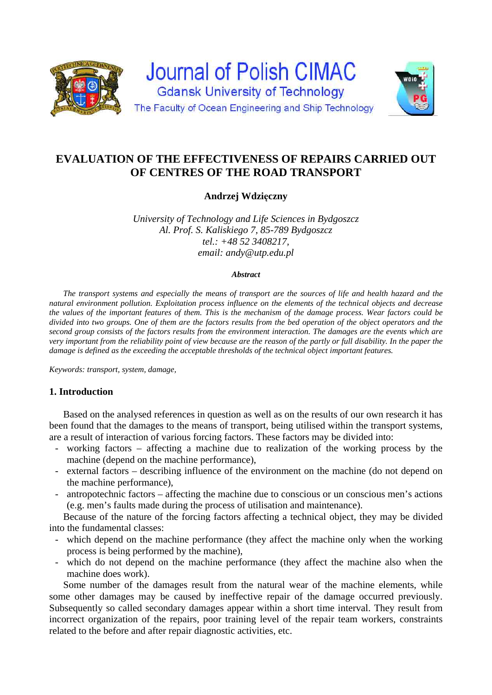



# **Andrzej Wdzięczny**

*University of Technology and Life Sciences in Bydgoszcz Al. Prof. S. Kaliskiego 7, 85-789 Bydgoszcz tel.: +48 52 3408217, email: andy@utp.edu.pl* 

#### *Abstract*

*The transport systems and especially the means of transport are the sources of life and health hazard and the natural environment pollution. Exploitation process influence on the elements of the technical objects and decrease the values of the important features of them. This is the mechanism of the damage process. Wear factors could be divided into two groups. One of them are the factors results from the bed operation of the object operators and the second group consists of the factors results from the environment interaction. The damages are the events which are very important from the reliability point of view because are the reason of the partly or full disability. In the paper the damage is defined as the exceeding the acceptable thresholds of the technical object important features.* 

*Keywords: transport, system, damage,* 

# **1. Introduction**

Based on the analysed references in question as well as on the results of our own research it has been found that the damages to the means of transport, being utilised within the transport systems, are a result of interaction of various forcing factors. These factors may be divided into:

- working factors affecting a machine due to realization of the working process by the machine (depend on the machine performance),
- external factors describing influence of the environment on the machine (do not depend on the machine performance),
- antropotechnic factors affecting the machine due to conscious or un conscious men's actions (e.g. men's faults made during the process of utilisation and maintenance).

Because of the nature of the forcing factors affecting a technical object, they may be divided into the fundamental classes:

- which depend on the machine performance (they affect the machine only when the working process is being performed by the machine),
- which do not depend on the machine performance (they affect the machine also when the machine does work).

Some number of the damages result from the natural wear of the machine elements, while some other damages may be caused by ineffective repair of the damage occurred previously. Subsequently so called secondary damages appear within a short time interval. They result from incorrect organization of the repairs, poor training level of the repair team workers, constraints related to the before and after repair diagnostic activities, etc.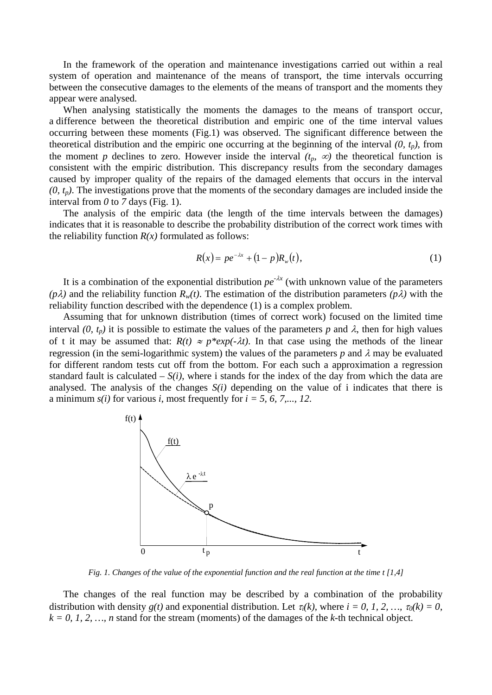In the framework of the operation and maintenance investigations carried out within a real system of operation and maintenance of the means of transport, the time intervals occurring between the consecutive damages to the elements of the means of transport and the moments they appear were analysed.

When analysing statistically the moments the damages to the means of transport occur, a difference between the theoretical distribution and empiric one of the time interval values occurring between these moments (Fig.1) was observed. The significant difference between the theoretical distribution and the empiric one occurring at the beginning of the interval  $(0, t_p)$ , from the moment *p* declines to zero. However inside the interval  $(t_p, \infty)$  the theoretical function is consistent with the empiric distribution. This discrepancy results from the secondary damages caused by improper quality of the repairs of the damaged elements that occurs in the interval  $(0, t_p)$ . The investigations prove that the moments of the secondary damages are included inside the interval from  $\theta$  to  $\theta$  days (Fig. 1).

The analysis of the empiric data (the length of the time intervals between the damages) indicates that it is reasonable to describe the probability distribution of the correct work times with the reliability function  $R(x)$  formulated as follows:

$$
R(x) = p e^{-\lambda x} + (1 - p) R_w(t), \tag{1}
$$

It is a combination of the exponential distribution  $pe^{-\lambda x}$  (with unknown value of the parameters  $(p\lambda)$  and the reliability function  $R_w(t)$ . The estimation of the distribution parameters  $(p\lambda)$  with the reliability function described with the dependence (1) is a complex problem.

Assuming that for unknown distribution (times of correct work) focused on the limited time interval (0,  $t_p$ ) it is possible to estimate the values of the parameters p and  $\lambda$ , then for high values of t it may be assumed that:  $R(t) \approx p^*exp(-\lambda t)$ . In that case using the methods of the linear regression (in the semi-logarithmic system) the values of the parameters  $p$  and  $\lambda$  may be evaluated for different random tests cut off from the bottom. For each such a approximation a regression standard fault is calculated  $-S(i)$ , where i stands for the index of the day from which the data are analysed. The analysis of the changes  $S(i)$  depending on the value of i indicates that there is a minimum *s(i)* for various *i*, most frequently for *i = 5, 6, 7,..., 12*.



*Fig. 1. Changes of the value of the exponential function and the real function at the time t [1,4]* 

The changes of the real function may be described by a combination of the probability distribution with density  $g(t)$  and exponential distribution. Let  $\tau_i(k)$ , where  $i = 0, 1, 2, ..., \tau_0(k) = 0$ ,  $k = 0, 1, 2, \ldots, n$  stand for the stream (moments) of the damages of the *k*-th technical object.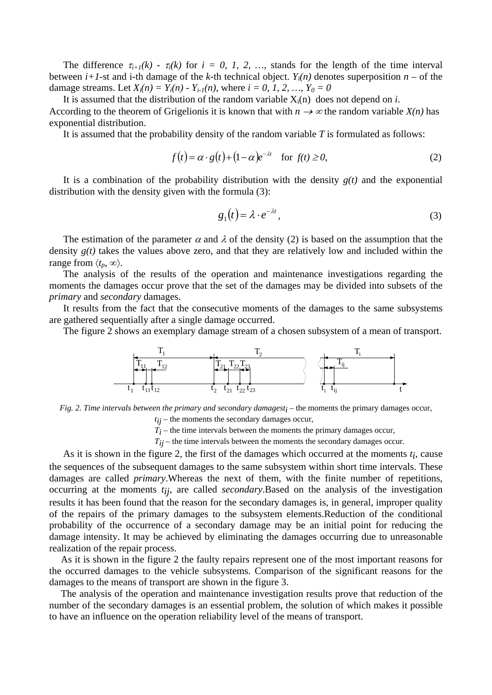The difference  $\tau_{i+1}(k)$  -  $\tau_i(k)$  for  $i = 0, 1, 2, ...$ , stands for the length of the time interval between *i+1*-st and *i*-th damage of the *k*-th technical object.  $Y_i(n)$  denotes superposition  $n -$  of the damage streams. Let  $X_i(n) = Y_i(n) - Y_{i-1}(n)$ , where  $i = 0, 1, 2, ..., Y_0 = 0$ 

It is assumed that the distribution of the random variable  $X_i(n)$  does not depend on *i*. According to the theorem of Grigelionis it is known that with  $n \to \infty$  the random variable *X(n)* has exponential distribution.

It is assumed that the probability density of the random variable *T* is formulated as follows:

$$
f(t) = \alpha \cdot g(t) + (1 - \alpha)e^{-\lambda t} \quad \text{for } f(t) \ge 0,
$$
 (2)

It is a combination of the probability distribution with the density  $g(t)$  and the exponential distribution with the density given with the formula (3):

$$
g_1(t) = \lambda \cdot e^{-\lambda t},\tag{3}
$$

The estimation of the parameter  $\alpha$  and  $\lambda$  of the density (2) is based on the assumption that the density *g(t)* takes the values above zero, and that they are relatively low and included within the range from  $\langle t_p, \infty \rangle$ .

The analysis of the results of the operation and maintenance investigations regarding the moments the damages occur prove that the set of the damages may be divided into subsets of the *primary* and *secondary* damages.

It results from the fact that the consecutive moments of the damages to the same subsystems are gathered sequentially after a single damage occurred.

The figure 2 shows an exemplary damage stream of a chosen subsystem of a mean of transport.



*Fig. 2. Time intervals between the primary and secondary damagesti* – the moments the primary damages occur,

*tij* – the moments the secondary damages occur,

 $T_i$  – the time intervals between the moments the primary damages occur,

*Tij* – the time intervals between the moments the secondary damages occur.

As it is shown in the figure 2, the first of the damages which occurred at the moments *ti*, cause the sequences of the subsequent damages to the same subsystem within short time intervals. These damages are called *primary*.Whereas the next of them, with the finite number of repetitions, occurring at the moments *tij*, are called *secondary*.Based on the analysis of the investigation results it has been found that the reason for the secondary damages is, in general, improper quality of the repairs of the primary damages to the subsystem elements.Reduction of the conditional probability of the occurrence of a secondary damage may be an initial point for reducing the damage intensity. It may be achieved by eliminating the damages occurring due to unreasonable realization of the repair process.

As it is shown in the figure 2 the faulty repairs represent one of the most important reasons for the occurred damages to the vehicle subsystems. Comparison of the significant reasons for the damages to the means of transport are shown in the figure 3.

The analysis of the operation and maintenance investigation results prove that reduction of the number of the secondary damages is an essential problem, the solution of which makes it possible to have an influence on the operation reliability level of the means of transport.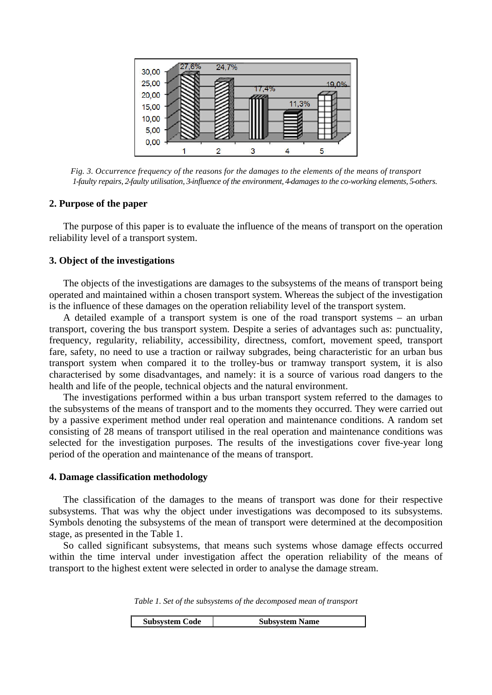

*Fig. 3. Occurrence frequency of the reasons for the damages to the elements of the means of transport 1-faulty repairs, 2-faulty utilisation, 3-influence of the environment, 4-damages to the co-working elements, 5-others.* 

### **2. Purpose of the paper**

The purpose of this paper is to evaluate the influence of the means of transport on the operation reliability level of a transport system.

## **3. Object of the investigations**

The objects of the investigations are damages to the subsystems of the means of transport being operated and maintained within a chosen transport system. Whereas the subject of the investigation is the influence of these damages on the operation reliability level of the transport system.

A detailed example of a transport system is one of the road transport systems – an urban transport, covering the bus transport system. Despite a series of advantages such as: punctuality, frequency, regularity, reliability, accessibility, directness, comfort, movement speed, transport fare, safety, no need to use a traction or railway subgrades, being characteristic for an urban bus transport system when compared it to the trolley-bus or tramway transport system, it is also characterised by some disadvantages, and namely: it is a source of various road dangers to the health and life of the people, technical objects and the natural environment.

The investigations performed within a bus urban transport system referred to the damages to the subsystems of the means of transport and to the moments they occurred. They were carried out by a passive experiment method under real operation and maintenance conditions. A random set consisting of 28 means of transport utilised in the real operation and maintenance conditions was selected for the investigation purposes. The results of the investigations cover five-year long period of the operation and maintenance of the means of transport.

#### **4. Damage classification methodology**

The classification of the damages to the means of transport was done for their respective subsystems. That was why the object under investigations was decomposed to its subsystems. Symbols denoting the subsystems of the mean of transport were determined at the decomposition stage, as presented in the Table 1.

So called significant subsystems, that means such systems whose damage effects occurred within the time interval under investigation affect the operation reliability of the means of transport to the highest extent were selected in order to analyse the damage stream.

*Table 1. Set of the subsystems of the decomposed mean of transport* 

|  | <b>Subsystem Code</b> | Subsystem Name |
|--|-----------------------|----------------|
|--|-----------------------|----------------|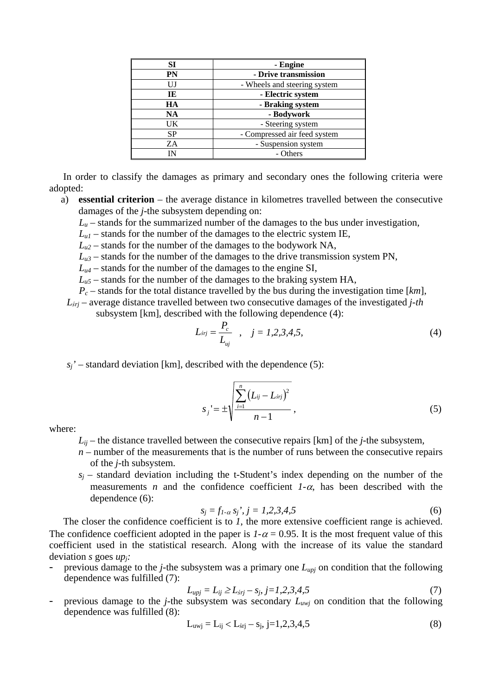| SI        | - Engine                     |  |  |  |
|-----------|------------------------------|--|--|--|
| <b>PN</b> | - Drive transmission         |  |  |  |
| UJ        | - Wheels and steering system |  |  |  |
| TE        | - Electric system            |  |  |  |
| HA        | - Braking system             |  |  |  |
| NA        | - Bodywork                   |  |  |  |
| UK        | - Steering system            |  |  |  |
| SP.       | - Compressed air feed system |  |  |  |
| ZΑ        | - Suspension system          |  |  |  |
|           | - Others                     |  |  |  |

In order to classify the damages as primary and secondary ones the following criteria were adopted:

a) **essential criterion** – the average distance in kilometres travelled between the consecutive damages of the *j*-the subsystem depending on:

 $L<sub>u</sub>$  – stands for the summarized number of the damages to the bus under investigation,

 $L_{ul}$  – stands for the number of the damages to the electric system IE,

- $L_{u2}$  stands for the number of the damages to the bodywork NA,
- $L_{u3}$  stands for the number of the damages to the drive transmission system PN,

 $L_{u4}$  – stands for the number of the damages to the engine SI,

 $L_{\mu5}$  – stands for the number of the damages to the braking system HA,

*Pc* – stands for the total distance travelled by the bus during the investigation time [*km*],

*Lśrj* – average distance travelled between two consecutive damages of the investigated *j-th* subsystem [km], described with the following dependence (4):

$$
L_{\text{s}rj} = \frac{P_c}{L_{\text{u}j}} \quad , \quad j = 1, 2, 3, 4, 5, \tag{4}
$$

 $s_j$ ' – standard deviation [km], described with the dependence (5):

$$
s_j = \pm \sqrt{\frac{\sum_{i=1}^{n} (L_{ij} - L_{\text{snj}})^2}{n-1}},
$$
\n(5)

where:

 $L_{ii}$  – the distance travelled between the consecutive repairs [km] of the *j*-the subsystem,

- $n$  number of the measurements that is the number of runs between the consecutive repairs of the *j*-th subsystem.
- $s_i$  standard deviation including the t-Student's index depending on the number of the measurements *n* and the confidence coefficient  $1-\alpha$ , has been described with the dependence (6):

$$
s_j = f_{1-\alpha} s_j, j = 1, 2, 3, 4, 5
$$
 (6)

The closer the confidence coefficient is to *1*, the more extensive coefficient range is achieved. The confidence coefficient adopted in the paper is  $1-\alpha = 0.95$ . It is the most frequent value of this coefficient used in the statistical research. Along with the increase of its value the standard deviation *s* goes *upj:*

- previous damage to the *j*-the subsystem was a primary one *Lupj* on condition that the following dependence was fulfilled (7):

$$
L_{upj} = L_{ij} \ge L_{5rj} - s_j, j = 1, 2, 3, 4, 5
$$
\n(7)

previous damage to the *j*-the subsystem was secondary  $L_{uwj}$  on condition that the following dependence was fulfilled (8):

$$
L_{\text{uuj}} = L_{ij} < L_{\text{srj}} - s_j, \, j = 1, 2, 3, 4, 5 \tag{8}
$$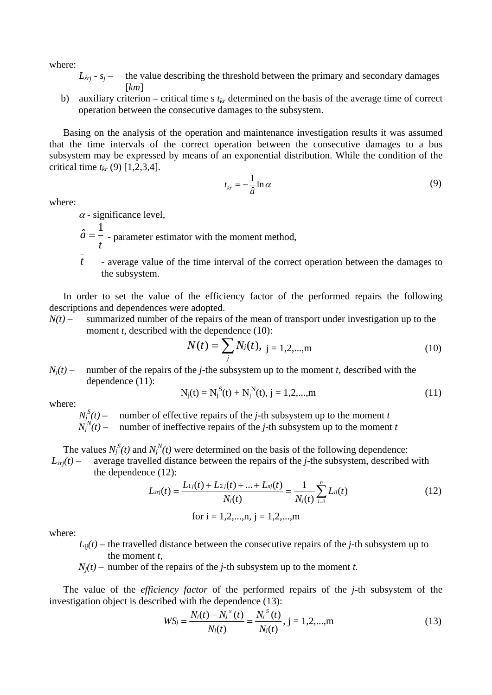where:

- $L<sub>5*i*j</sub> s<sub>j</sub>$  the value describing the threshold between the primary and secondary damages [*km*]
- b) auxiliary criterion critical time s  $t_{kr}$  determined on the basis of the average time of correct operation between the consecutive damages to the subsystem.

Basing on the analysis of the operation and maintenance investigation results it was assumed that the time intervals of the correct operation between the consecutive damages to a bus subsystem may be expressed by means of an exponential distribution. While the condition of the critical time  $t_{kr}$  (9) [1,2,3,4].

$$
t_{kr} = -\frac{1}{\hat{a}} \ln \alpha \tag{9}
$$

where:

 $\alpha$  - significance level,

*t*  $\hat{a} = \frac{1}{a}$  - parameter estimator with the moment method,

*t* - average value of the time interval of the correct operation between the damages to the subsystem.

In order to set the value of the efficiency factor of the performed repairs the following descriptions and dependences were adopted.

 $N(t)$  – summarized number of the repairs of the mean of transport under investigation up to the moment *t*, described with the dependence (10):

$$
N(t) = \sum_{j} N_j(t), \ j = 1, 2, \dots, m
$$
 (10)

 $N_i(t)$  – number of the repairs of the *j*-the subsystem up to the moment *t*, described with the dependence (11):

$$
N_j(t) = N_j^S(t) + N_j^N(t), j = 1, 2, ..., m
$$
\n(11)

where:

 $N_j^S(t)$  – number of effective repairs of the *j*-th subsystem up to the moment *t*  $N_j^N(t)$  – number of ineffective repairs of the *j*-th subsystem up to the moment *t* 

The values  $N_j^S(t)$  and  $N_j^N(t)$  were determined on the basis of the following dependence:  $L$ <sup>*sri*( $t$ ) – average travelled distance between the repairs of the *j*-the subsystem, described with</sup> the dependence (12):

$$
L_{\text{sry}}(t) = \frac{L_{1j}(t) + L_{2j}(t) + \dots + L_{nj}(t)}{N_j(t)} = \frac{1}{N_j(t)} \sum_{i=1}^n L_{ij}(t)
$$
  
for i = 1,2,...,n, j = 1,2,...,m (12)

where:

 $L_{ii}(t)$  – the travelled distance between the consecutive repairs of the *j*-th subsystem up to the moment *t,*

 $N_i(t)$  – number of the repairs of the *j*-th subsystem up to the moment *t*.

The value of the *efficiency factor* of the performed repairs of the *j*-th subsystem of the investigation object is described with the dependence (13):

$$
WS_j = \frac{N_j(t) - N_j''(t)}{N_j(t)} = \frac{N_j^{S}(t)}{N_j(t)}, j = 1, 2, ..., m
$$
\n(13)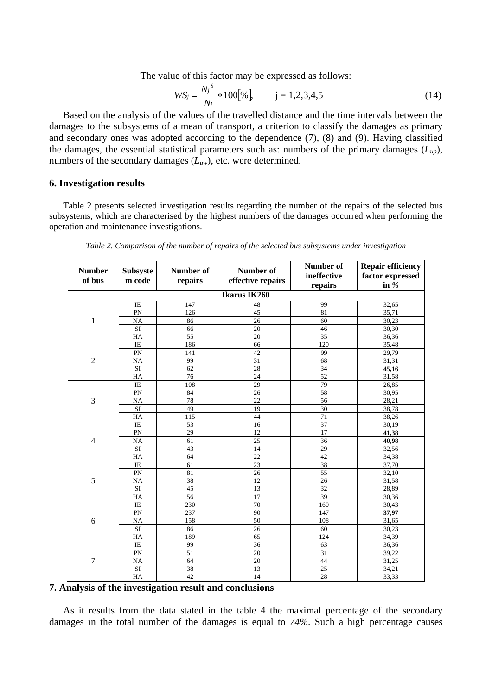The value of this factor may be expressed as follows:

$$
WS_j = \frac{N_j^s}{N_j} * 100[\%], \qquad j = 1, 2, 3, 4, 5 \tag{14}
$$

Based on the analysis of the values of the travelled distance and the time intervals between the damages to the subsystems of a mean of transport, a criterion to classify the damages as primary and secondary ones was adopted according to the dependence (7), (8) and (9). Having classified the damages, the essential statistical parameters such as: numbers of the primary damages  $(L_{un})$ , numbers of the secondary damages (*Luw*), etc. were determined.

## **6. Investigation results**

Table 2 presents selected investigation results regarding the number of the repairs of the selected bus subsystems, which are characterised by the highest numbers of the damages occurred when performing the operation and maintenance investigations.

| <b>Number</b><br>of bus | <b>Subsyste</b><br>m code | Number of<br>repairs | <b>Number of</b><br>effective repairs | Number of<br>ineffective | <b>Repair efficiency</b><br>factor expressed<br>in $%$ |  |  |
|-------------------------|---------------------------|----------------------|---------------------------------------|--------------------------|--------------------------------------------------------|--|--|
| repairs                 |                           |                      |                                       |                          |                                                        |  |  |
|                         |                           |                      | Ikarus IK260                          |                          |                                                        |  |  |
|                         | $\rm I E$                 | 147                  | 48                                    | 99                       | 32,65                                                  |  |  |
| 1                       | PN                        | 126                  | 45                                    | 81                       | 35,71                                                  |  |  |
|                         | <b>NA</b>                 | 86                   | 26                                    | 60                       | 30,23                                                  |  |  |
|                         | <b>SI</b>                 | 66                   | 20                                    | 46                       | 30,30                                                  |  |  |
|                         | HA                        | 55                   | 20                                    | 35                       | 36,36                                                  |  |  |
| $\overline{2}$          | IE                        | 186                  | 66                                    | 120                      | 35,48                                                  |  |  |
|                         | PN                        | 141                  | 42                                    | 99                       | 29,79                                                  |  |  |
|                         | NA                        | 99                   | $\overline{31}$                       | 68                       | 31,31                                                  |  |  |
|                         | SI                        | 62                   | 28                                    | 34                       | 45,16                                                  |  |  |
|                         | HA                        | 76                   | 24                                    | 52                       | 31,58                                                  |  |  |
|                         | IE                        | 108                  | 29                                    | 79                       | 26,85                                                  |  |  |
|                         | PN                        | 84                   | 26                                    | 58                       | 30,95                                                  |  |  |
| 3                       | <b>NA</b>                 | 78                   | $\overline{22}$                       | 56                       | 28,21                                                  |  |  |
|                         | $\overline{SI}$           | 49                   | 19                                    | 30                       | 38,78                                                  |  |  |
|                         | HA                        | 115                  | 44                                    | $\overline{71}$          | 38,26                                                  |  |  |
| $\overline{4}$          | IE                        | 53                   | 16                                    | 37                       | 30,19                                                  |  |  |
|                         | PN                        | 29                   | 12                                    | 17                       | 41,38                                                  |  |  |
|                         | NA                        | 61                   | $\overline{25}$                       | $\overline{36}$          | 40,98                                                  |  |  |
|                         | SI                        | 43                   | 14                                    | 29                       | 32,56                                                  |  |  |
|                         | $H\overline{A}$           | 64                   | $\overline{22}$                       | 42                       | 34,38                                                  |  |  |
| 5                       | $\overline{1E}$           | 61                   | $\overline{23}$                       | 38                       | 37,70                                                  |  |  |
|                         | PN                        | 81                   | 26                                    | 55                       | 32,10                                                  |  |  |
|                         | NA                        | 38                   | 12                                    | 26                       | 31,58                                                  |  |  |
|                         | <b>SI</b>                 | 45                   | 13                                    | 32                       | 28,89                                                  |  |  |
|                         | HA                        | 56                   | 17                                    | 39                       | 30,36                                                  |  |  |
| 6                       | IE                        | 230                  | 70                                    | 160                      | 30,43                                                  |  |  |
|                         | PN                        | 237                  | 90                                    | 147                      | 37,97                                                  |  |  |
|                         | <b>NA</b>                 | 158                  | 50                                    | 108                      | 31,65                                                  |  |  |
|                         | <b>SI</b>                 | 86                   | 26                                    | 60                       | 30,23                                                  |  |  |
|                         | HA                        | 189                  | 65                                    | 124                      | 34,39                                                  |  |  |
| 7                       | $\overline{IE}$           | 99                   | $\overline{36}$                       | 63                       | 36,36                                                  |  |  |
|                         | PN                        | $\overline{51}$      | 20                                    | 31                       | 39,22                                                  |  |  |
|                         | <b>NA</b>                 | 64                   | $\overline{20}$                       | 44                       | 31,25                                                  |  |  |
|                         | $\overline{SI}$           | 38                   | 13                                    | $\overline{25}$          | 34,21                                                  |  |  |
|                         | HA                        | 42                   | 14                                    | 28                       | 33,33                                                  |  |  |

*Table 2. Comparison of the number of repairs of the selected bus subsystems under investigation* 

#### **7. Analysis of the investigation result and conclusions**

As it results from the data stated in the table 4 the maximal percentage of the secondary damages in the total number of the damages is equal to *74%*. Such a high percentage causes